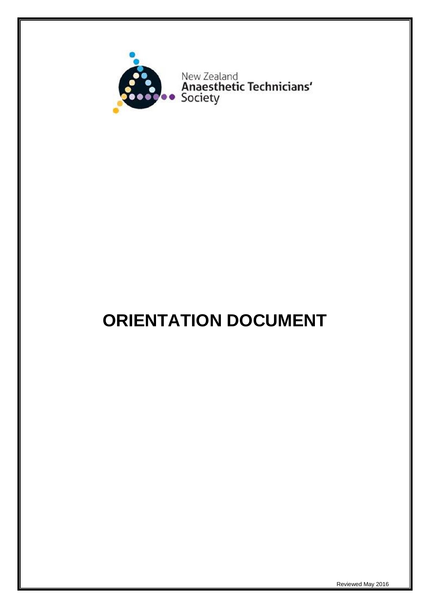

# **ORIENTATION DOCUMENT**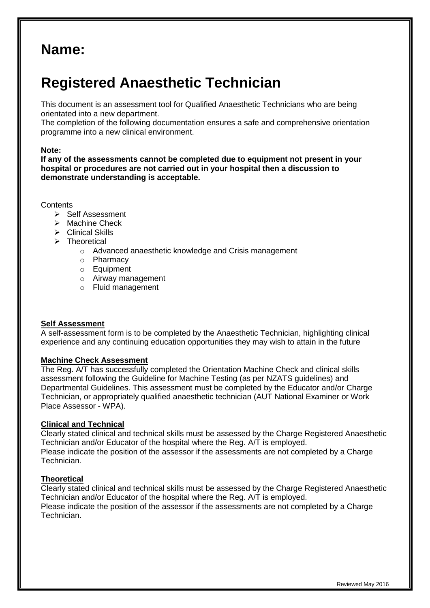# **Name:**

# **Registered Anaesthetic Technician**

This document is an assessment tool for Qualified Anaesthetic Technicians who are being orientated into a new department.

The completion of the following documentation ensures a safe and comprehensive orientation programme into a new clinical environment.

#### **Note:**

**If any of the assessments cannot be completed due to equipment not present in your hospital or procedures are not carried out in your hospital then a discussion to demonstrate understanding is acceptable.**

#### **Contents**

- $\triangleright$  Self Assessment
- $\triangleright$  Machine Check
- $\triangleright$  Clinical Skills
- > Theoretical
	- o Advanced anaesthetic knowledge and Crisis management
	- o Pharmacy
	- o Equipment
	- o Airway management
	- o Fluid management

#### **Self Assessment**

A self-assessment form is to be completed by the Anaesthetic Technician, highlighting clinical experience and any continuing education opportunities they may wish to attain in the future

#### **Machine Check Assessment**

The Reg. A/T has successfully completed the Orientation Machine Check and clinical skills assessment following the Guideline for Machine Testing (as per NZATS guidelines) and Departmental Guidelines. This assessment must be completed by the Educator and/or Charge Technician, or appropriately qualified anaesthetic technician (AUT National Examiner or Work Place Assessor - WPA).

#### **Clinical and Technical**

Clearly stated clinical and technical skills must be assessed by the Charge Registered Anaesthetic Technician and/or Educator of the hospital where the Reg. A/T is employed. Please indicate the position of the assessor if the assessments are not completed by a Charge Technician.

#### **Theoretical**

Clearly stated clinical and technical skills must be assessed by the Charge Registered Anaesthetic Technician and/or Educator of the hospital where the Reg. A/T is employed. Please indicate the position of the assessor if the assessments are not completed by a Charge Technician.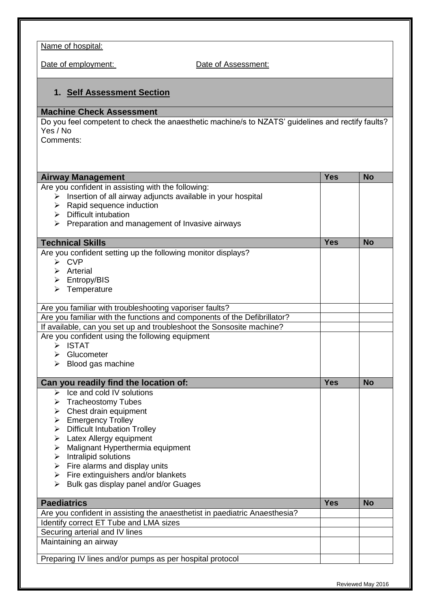Name of hospital:

Date of employment: Date of Assessment:

## **1. Self Assessment Section**

### **Machine Check Assessment**

Do you feel competent to check the anaesthetic machine/s to NZATS' guidelines and rectify faults? Yes / No

Comments:

| <b>Airway Management</b>                                                   | <b>Yes</b> | <b>No</b> |
|----------------------------------------------------------------------------|------------|-----------|
| Are you confident in assisting with the following:                         |            |           |
| Insertion of all airway adjuncts available in your hospital<br>≻           |            |           |
| Rapid sequence induction<br>≻                                              |            |           |
| $\triangleright$ Difficult intubation                                      |            |           |
| Preparation and management of Invasive airways<br>➤                        |            |           |
| <b>Technical Skills</b>                                                    | <b>Yes</b> | <b>No</b> |
| Are you confident setting up the following monitor displays?               |            |           |
| $\triangleright$ CVP                                                       |            |           |
| $\triangleright$ Arterial                                                  |            |           |
| $\triangleright$ Entropy/BIS                                               |            |           |
| Temperature<br>➤                                                           |            |           |
| Are you familiar with troubleshooting vaporiser faults?                    |            |           |
| Are you familiar with the functions and components of the Defibrillator?   |            |           |
| If available, can you set up and troubleshoot the Sonsosite machine?       |            |           |
| Are you confident using the following equipment                            |            |           |
| $\triangleright$ ISTAT                                                     |            |           |
| $\triangleright$ Glucometer                                                |            |           |
| $\triangleright$ Blood gas machine                                         |            |           |
| Can you readily find the location of:                                      | <b>Yes</b> | <b>No</b> |
| $\triangleright$ Ice and cold IV solutions                                 |            |           |
| > Tracheostomy Tubes                                                       |            |           |
| $\triangleright$ Chest drain equipment                                     |            |           |
| $\triangleright$ Emergency Trolley                                         |            |           |
| $\triangleright$ Difficult Intubation Trolley                              |            |           |
| Latex Allergy equipment<br>➤                                               |            |           |
| Malignant Hyperthermia equipment<br>➤                                      |            |           |
| Intralipid solutions<br>➤                                                  |            |           |
| Fire alarms and display units<br>➤                                         |            |           |
|                                                                            |            |           |
| Fire extinguishers and/or blankets<br>➤                                    |            |           |
| Bulk gas display panel and/or Guages<br>➤                                  |            |           |
| <b>Paediatrics</b>                                                         | <b>Yes</b> | <b>No</b> |
| Are you confident in assisting the anaesthetist in paediatric Anaesthesia? |            |           |
|                                                                            |            |           |
| Identify correct ET Tube and LMA sizes                                     |            |           |
| Securing arterial and IV lines                                             |            |           |
| Maintaining an airway                                                      |            |           |
| Preparing IV lines and/or pumps as per hospital protocol                   |            |           |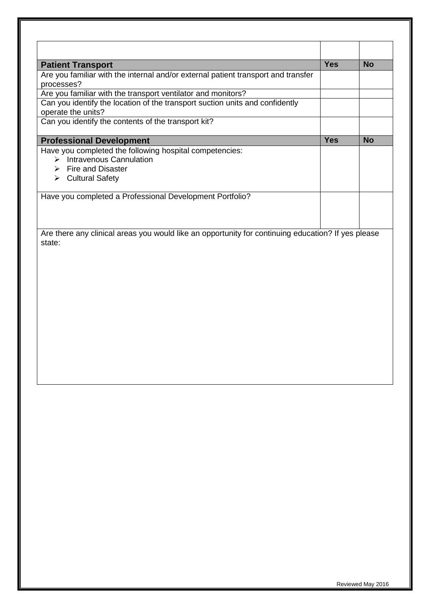| <b>Patient Transport</b>                                                                           | <b>Yes</b> | <b>No</b> |
|----------------------------------------------------------------------------------------------------|------------|-----------|
| Are you familiar with the internal and/or external patient transport and transfer<br>processes?    |            |           |
| Are you familiar with the transport ventilator and monitors?                                       |            |           |
| Can you identify the location of the transport suction units and confidently<br>operate the units? |            |           |
| Can you identify the contents of the transport kit?                                                |            |           |
| <b>Professional Development</b>                                                                    | <b>Yes</b> | <b>No</b> |
| Have you completed the following hospital competencies:                                            |            |           |
| $\triangleright$ Intravenous Cannulation                                                           |            |           |
| $\triangleright$ Fire and Disaster                                                                 |            |           |
| $\triangleright$ Cultural Safety                                                                   |            |           |
| Have you completed a Professional Development Portfolio?                                           |            |           |
|                                                                                                    |            |           |
|                                                                                                    |            |           |
|                                                                                                    |            |           |
| Are there any clinical areas you would like an opportunity for continuing education? If yes please |            |           |
| state:                                                                                             |            |           |
|                                                                                                    |            |           |
|                                                                                                    |            |           |
|                                                                                                    |            |           |
|                                                                                                    |            |           |
|                                                                                                    |            |           |
|                                                                                                    |            |           |
|                                                                                                    |            |           |
|                                                                                                    |            |           |
|                                                                                                    |            |           |
|                                                                                                    |            |           |
|                                                                                                    |            |           |
|                                                                                                    |            |           |
|                                                                                                    |            |           |
|                                                                                                    |            |           |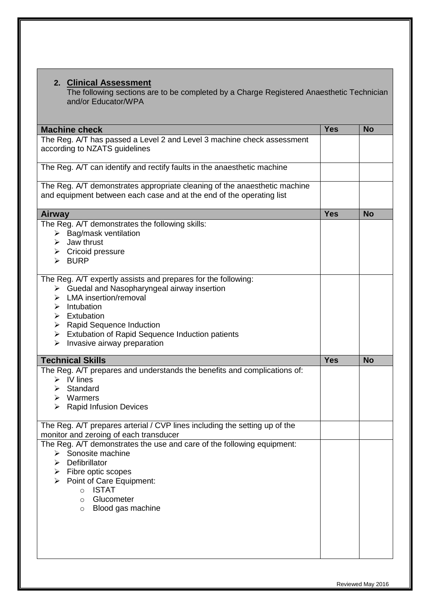### **2. Clinical Assessment**

The following sections are to be completed by a Charge Registered Anaesthetic Technician and/or Educator/WPA

| <b>Machine check</b>                                                                                                                                                                                                                                                                                                                                                                 | <b>Yes</b> | <b>No</b> |
|--------------------------------------------------------------------------------------------------------------------------------------------------------------------------------------------------------------------------------------------------------------------------------------------------------------------------------------------------------------------------------------|------------|-----------|
| The Reg. A/T has passed a Level 2 and Level 3 machine check assessment<br>according to NZATS guidelines                                                                                                                                                                                                                                                                              |            |           |
| The Reg. A/T can identify and rectify faults in the anaesthetic machine                                                                                                                                                                                                                                                                                                              |            |           |
| The Reg. A/T demonstrates appropriate cleaning of the anaesthetic machine<br>and equipment between each case and at the end of the operating list                                                                                                                                                                                                                                    |            |           |
| <b>Airway</b>                                                                                                                                                                                                                                                                                                                                                                        | <b>Yes</b> | <b>No</b> |
| The Reg. A/T demonstrates the following skills:<br>$\triangleright$ Bag/mask ventilation<br>Jaw thrust<br>➤<br>$\triangleright$ Cricoid pressure<br>$\triangleright$ BURP                                                                                                                                                                                                            |            |           |
| The Reg. A/T expertly assists and prepares for the following:<br>$\triangleright$ Guedal and Nasopharyngeal airway insertion<br>$\triangleright$ LMA insertion/removal<br>$\triangleright$ Intubation<br>$\triangleright$ Extubation<br>$\triangleright$ Rapid Sequence Induction<br>Extubation of Rapid Sequence Induction patients<br>$\triangleright$ Invasive airway preparation |            |           |
| <b>Technical Skills</b>                                                                                                                                                                                                                                                                                                                                                              | <b>Yes</b> | <b>No</b> |
| The Reg. A/T prepares and understands the benefits and complications of:<br>$\triangleright$ IV lines<br>$\triangleright$ Standard<br>$\triangleright$ Warmers<br>$\triangleright$ Rapid Infusion Devices                                                                                                                                                                            |            |           |
| The Reg. A/T prepares arterial / CVP lines including the setting up of the<br>monitor and zeroing of each transducer                                                                                                                                                                                                                                                                 |            |           |
| The Reg. A/T demonstrates the use and care of the following equipment:<br>Sonosite machine<br>Defibrillator<br>⋗<br>Fibre optic scopes<br>➤<br>Point of Care Equipment:<br><b>ISTAT</b><br>$\circ$<br>Glucometer<br>$\circ$<br>Blood gas machine<br>$\circ$                                                                                                                          |            |           |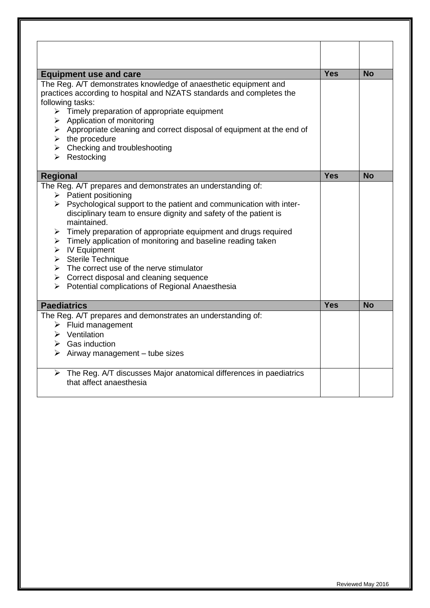| <b>Equipment use and care</b>                                                                            | <b>Yes</b> | <b>No</b> |
|----------------------------------------------------------------------------------------------------------|------------|-----------|
| The Reg. A/T demonstrates knowledge of anaesthetic equipment and                                         |            |           |
| practices according to hospital and NZATS standards and completes the                                    |            |           |
| following tasks:                                                                                         |            |           |
| $\triangleright$ Timely preparation of appropriate equipment                                             |            |           |
| $\triangleright$ Application of monitoring                                                               |            |           |
| > Appropriate cleaning and correct disposal of equipment at the end of<br>$\triangleright$ the procedure |            |           |
| $\triangleright$ Checking and troubleshooting                                                            |            |           |
| $\triangleright$ Restocking                                                                              |            |           |
|                                                                                                          |            |           |
| <b>Regional</b>                                                                                          | <b>Yes</b> | <b>No</b> |
| The Reg. A/T prepares and demonstrates an understanding of:                                              |            |           |
| $\triangleright$ Patient positioning                                                                     |            |           |
| $\triangleright$ Psychological support to the patient and communication with inter-                      |            |           |
| disciplinary team to ensure dignity and safety of the patient is                                         |            |           |
| maintained.                                                                                              |            |           |
| $\triangleright$ Timely preparation of appropriate equipment and drugs required                          |            |           |
| $\triangleright$ Timely application of monitoring and baseline reading taken                             |            |           |
| $\triangleright$ IV Equipment                                                                            |            |           |
| $\triangleright$ Sterile Technique                                                                       |            |           |
| $\triangleright$ The correct use of the nerve stimulator                                                 |            |           |
| $\triangleright$ Correct disposal and cleaning sequence                                                  |            |           |
| > Potential complications of Regional Anaesthesia                                                        |            |           |
| <b>Paediatrics</b>                                                                                       | <b>Yes</b> | <b>No</b> |
| The Reg. A/T prepares and demonstrates an understanding of:                                              |            |           |
| $\triangleright$ Fluid management                                                                        |            |           |
| $\triangleright$ Ventilation                                                                             |            |           |
| $\triangleright$ Gas induction                                                                           |            |           |
| $\triangleright$ Airway management – tube sizes                                                          |            |           |
| $\triangleright$ The Reg. A/T discusses Major anatomical differences in paediatrics                      |            |           |
| that affect anaesthesia                                                                                  |            |           |
|                                                                                                          |            |           |
|                                                                                                          |            |           |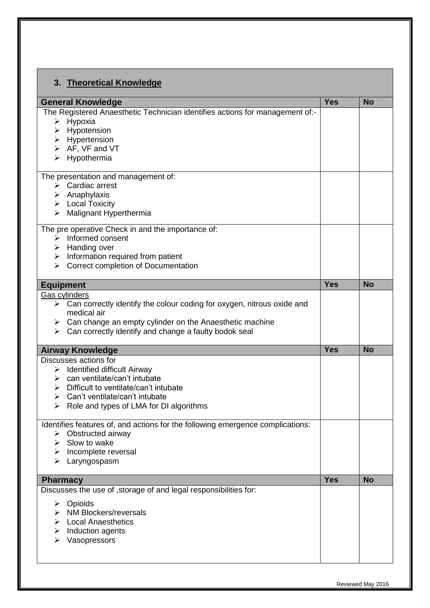| <b>General Knowledge</b>                                                                                                               | <b>Yes</b> | <b>No</b> |
|----------------------------------------------------------------------------------------------------------------------------------------|------------|-----------|
| The Registered Anaesthetic Technician identifies actions for management of:-                                                           |            |           |
| $\triangleright$ Hypoxia                                                                                                               |            |           |
| $\triangleright$ Hypotension                                                                                                           |            |           |
| $\triangleright$ Hypertension                                                                                                          |            |           |
| $\triangleright$ AF, VF and VT                                                                                                         |            |           |
| Hypothermia                                                                                                                            |            |           |
| The presentation and management of:                                                                                                    |            |           |
| $\triangleright$ Cardiac arrest                                                                                                        |            |           |
| $\triangleright$ Anaphylaxis                                                                                                           |            |           |
| $\triangleright$ Local Toxicity                                                                                                        |            |           |
| Malignant Hyperthermia<br>➤                                                                                                            |            |           |
| The pre operative Check in and the importance of:                                                                                      |            |           |
| $\triangleright$ Informed consent                                                                                                      |            |           |
| Handing over<br>➤                                                                                                                      |            |           |
| $\triangleright$ Information required from patient<br><b>Correct completion of Documentation</b><br>➤                                  |            |           |
|                                                                                                                                        |            |           |
| <b>Equipment</b>                                                                                                                       | <b>Yes</b> | <b>No</b> |
| Gas cylinders                                                                                                                          |            |           |
| $\triangleright$ Can correctly identify the colour coding for oxygen, nitrous oxide and                                                |            |           |
| medical air                                                                                                                            |            |           |
| $\triangleright$ Can change an empty cylinder on the Anaesthetic machine<br>Can correctly identify and change a faulty bodok seal<br>➤ |            |           |
|                                                                                                                                        |            |           |
| <b>Airway Knowledge</b>                                                                                                                | <b>Yes</b> | <b>No</b> |
| Discusses actions for                                                                                                                  |            |           |
| $\triangleright$ Identified difficult Airway                                                                                           |            |           |
| $\triangleright$ can ventilate/can't intubate                                                                                          |            |           |
| Difficult to ventilate/can't intubate                                                                                                  |            |           |
| Can't ventilate/can't intubate<br>➤                                                                                                    |            |           |
| Role and types of LMA for DI algorithms<br>➤                                                                                           |            |           |
| Identifies features of, and actions for the following emergence complications:                                                         |            |           |
| $\triangleright$ Obstructed airway                                                                                                     |            |           |
| $\triangleright$ Slow to wake                                                                                                          |            |           |
| $\triangleright$ Incomplete reversal                                                                                                   |            |           |
| $\triangleright$ Laryngospasm                                                                                                          |            |           |
| <b>Pharmacy</b>                                                                                                                        | <b>Yes</b> | <b>No</b> |
| Discusses the use of , storage of and legal responsibilities for:                                                                      |            |           |
| $\triangleright$ Opioids                                                                                                               |            |           |
| $\triangleright$ NM Blockers/reversals                                                                                                 |            |           |
| $\triangleright$ Local Anaesthetics                                                                                                    |            |           |
|                                                                                                                                        |            |           |
| Induction agents                                                                                                                       |            |           |